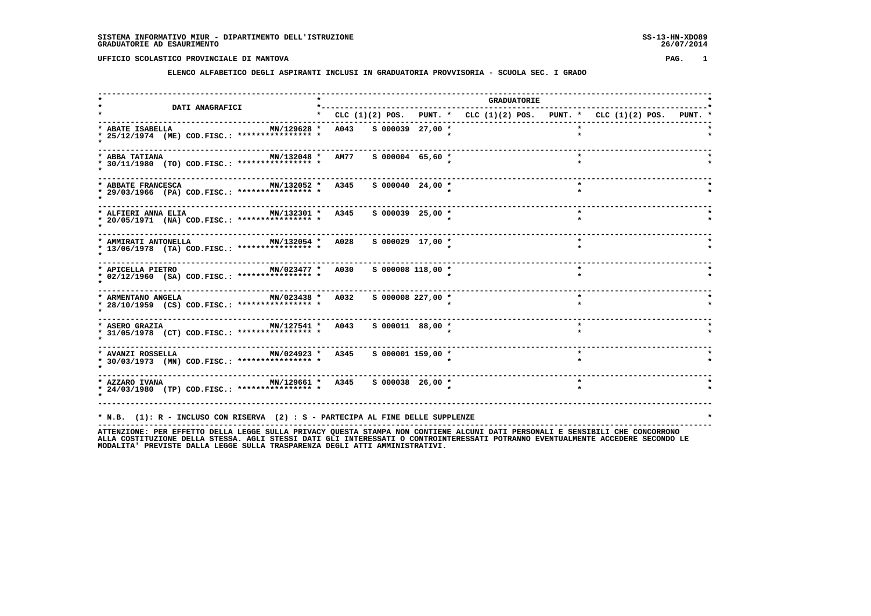#### **ELENCO ALFABETICO DEGLI ASPIRANTI INCLUSI IN GRADUATORIA PROVVISORIA - SCUOLA SEC. I GRADO**

 **------------------------------------------------------------------------------------------------------------------------------------ \* \* GRADUATORIE \* \* DATI ANAGRAFICI \*-----------------------------------------------------------------------------------\* \* \* CLC (1)(2) POS. PUNT. \* CLC (1)(2) POS. PUNT. \* CLC (1)(2) POS. PUNT. \* ------------------------------------------------------------------------------------------------------------------------------------ \* ABATE ISABELLA MN/129628 \* A043 S 000039 27,00 \* \* \* \* 25/12/1974 (ME) COD.FISC.: \*\*\*\*\*\*\*\*\*\*\*\*\*\*\*\* \* \* \* \* \* ------------------------------------------------------------------------------------------------------------------------------------ \* ABBA TATIANA MN/132048 \* AM77 S 000004 65,60 \* \* \* \* 30/11/1980 (TO) COD.FISC.: \*\*\*\*\*\*\*\*\*\*\*\*\*\*\*\* \* \* \* \* \* ------------------------------------------------------------------------------------------------------------------------------------**\* **ABBATE FRANCESCA MN/132052** \* **A345** S 000040 24,00 \*  **\* 29/03/1966 (PA) COD.FISC.: \*\*\*\*\*\*\*\*\*\*\*\*\*\*\*\* \* \* \* \* \* ------------------------------------------------------------------------------------------------------------------------------------ \* ALFIERI ANNA ELIA MN/132301 \* A345 S 000039 25,00 \* \* \* \* 20/05/1971 (NA) COD.FISC.: \*\*\*\*\*\*\*\*\*\*\*\*\*\*\*\* \* \* \* \* \***---------------------- **------------------------------------------------------------------------------------------------------------------------------------ \* AMMIRATI ANTONELLA MN/132054 \* A028 S 000029 17,00 \* \* \* \* 13/06/1978 (TA) COD.FISC.: \*\*\*\*\*\*\*\*\*\*\*\*\*\*\*\* \* \* \* \* \* ------------------------------------------------------------------------------------------------------------------------------------ \* APICELLA PIETRO MN/023477 \* A030 S 000008 118,00 \* \* \* \* 02/12/1960 (SA) COD.FISC.: \*\*\*\*\*\*\*\*\*\*\*\*\*\*\*\* \* \* \* \* \* ------------------------------------------------------------------------------------------------------------------------------------ \* ARMENTANO ANGELA MN/023438 \* A032 S 000008 227,00 \* \* \* \* 28/10/1959 (CS) COD.FISC.: \*\*\*\*\*\*\*\*\*\*\*\*\*\*\*\* \* \* \* \* \* ------------------------------------------------------------------------------------------------------------------------------------ \* ASERO GRAZIA MN/127541 \* A043 S 000011 88,00 \* \* \* \* 31/05/1978 (CT) COD.FISC.: \*\*\*\*\*\*\*\*\*\*\*\*\*\*\*\* \* \* \* \* \* ------------------------------------------------------------------------------------------------------------------------------------ \* AVANZI ROSSELLA MN/024923 \* A345 S 000001 159,00 \* \* \* \* 30/03/1973 (MN) COD.FISC.: \*\*\*\*\*\*\*\*\*\*\*\*\*\*\*\* \* \* \* \* \* ------------------------------------------------------------------------------------------------------------------------------------ \* AZZARO IVANA MN/129661 \* A345 S 000038 26,00 \* \* \* \* 24/03/1980 (TP) COD.FISC.: \*\*\*\*\*\*\*\*\*\*\*\*\*\*\*\* \* \* \* \* \* ------------------------------------------------------------------------------------------------------------------------------------ \* N.B. (1): R - INCLUSO CON RISERVA (2) : S - PARTECIPA AL FINE DELLE SUPPLENZE \***

 **------------------------------------------------------------------------------------------------------------------------------------**

 **ATTENZIONE: PER EFFETTO DELLA LEGGE SULLA PRIVACY QUESTA STAMPA NON CONTIENE ALCUNI DATI PERSONALI E SENSIBILI CHE CONCORRONO ALLA COSTITUZIONE DELLA STESSA. AGLI STESSI DATI GLI INTERESSATI O CONTROINTERESSATI POTRANNO EVENTUALMENTE ACCEDERE SECONDO LE MODALITA' PREVISTE DALLA LEGGE SULLA TRASPARENZA DEGLI ATTI AMMINISTRATIVI.**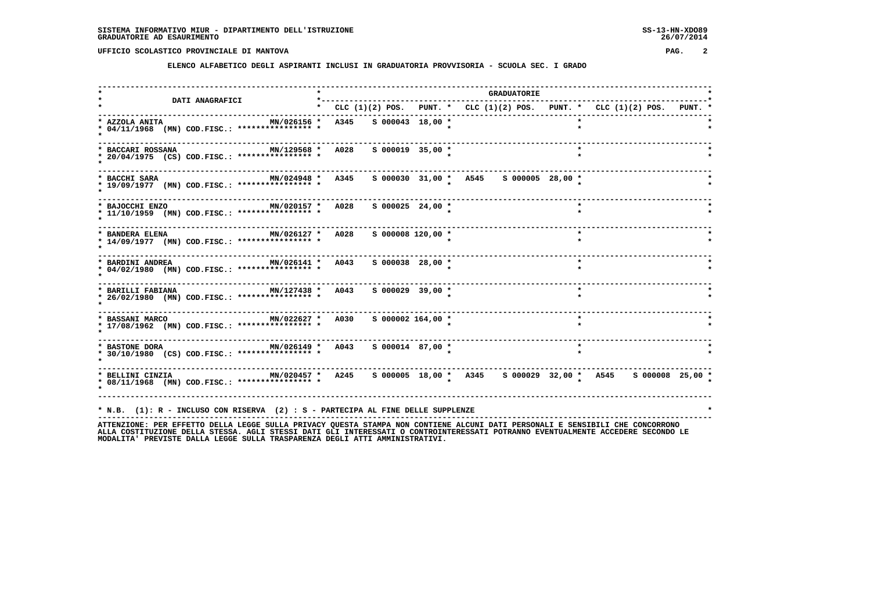**ELENCO ALFABETICO DEGLI ASPIRANTI INCLUSI IN GRADUATORIA PROVVISORIA - SCUOLA SEC. I GRADO**

| DATI ANAGRAFICI                                                                                                                                                    | *--------- |                       |                                                                           | <b>GRADUATORIE</b> |              |         |  |  |
|--------------------------------------------------------------------------------------------------------------------------------------------------------------------|------------|-----------------------|---------------------------------------------------------------------------|--------------------|--------------|---------|--|--|
|                                                                                                                                                                    |            |                       | * CLC (1)(2) POS. PUNT. * CLC (1)(2) POS. PUNT. * CLC (1)(2) POS. PUNT. * |                    |              |         |  |  |
| * AZZOLA ANITA<br>MN/026156 * A345 S 000043 18,00 *<br>* 04/11/1968 (MN) COD.FISC.: **************** *                                                             |            |                       |                                                                           |                    |              |         |  |  |
| MN/129568 * A028 S 000019 35,00 *<br>* BACCARI ROSSANA<br>* 20/04/1975 (CS) COD.FISC.: **************** *                                                          |            |                       |                                                                           |                    | $\mathbf{r}$ |         |  |  |
| * BACCHI SARA<br>* 19/09/1977 (MN) COD.FISC.: *************** *                                                                                                    |            |                       | MN/024948 * A345 S 000030 31,00 * A545 S 000005 28,00 *                   |                    |              |         |  |  |
| MN/020157 * A028<br>* BAJOCCHI ENZO<br>* 11/10/1959 (MN) COD.FISC.: **************** *                                                                             |            | $S$ 000025 24,00 *    |                                                                           |                    |              |         |  |  |
| MN/026127 * A028<br>* BANDERA ELENA<br>* 14/09/1977 (MN) COD.FISC.: **************** *                                                                             |            | $S$ 000008 120,00 $*$ |                                                                           |                    |              | $\star$ |  |  |
| MN/026141 * A043 S 000038 28,00 *<br>* BARDINI ANDREA<br>* 04/02/1980 (MN) COD.FISC.: *************** *                                                            |            |                       |                                                                           |                    |              | $\star$ |  |  |
| MN/127438 * A043<br>* BARILLI FABIANA<br>* 26/02/1980 (MN) COD.FISC.: **************** *                                                                           |            | S 000029 39,00 *      |                                                                           |                    |              | $\star$ |  |  |
| * BASSANI MARCO <b>MN/022627 *</b> A030<br>* 17/08/1962 (MN) COD.FISC.: **************** *                                                                         |            | $S$ 000002 164,00 $*$ |                                                                           |                    |              | $\star$ |  |  |
| * 30/10/1980 (CS) COD.FISC.: **************** *                                                                                                                    |            |                       |                                                                           |                    |              | $\star$ |  |  |
| * BELLINI CINZIA 600008 25,00 * MN/020457 * A245 \$ 000005 18,00 * A345 \$ 000029 32,00 * A545 \$ 000008 25,00 *<br>* 08/11/1968 (MN) COD.FISC.: *************** * |            |                       |                                                                           |                    |              |         |  |  |
| * N.B. (1): R - INCLUSO CON RISERVA (2) : S - PARTECIPA AL FINE DELLE SUPPLENZE                                                                                    |            |                       |                                                                           |                    |              |         |  |  |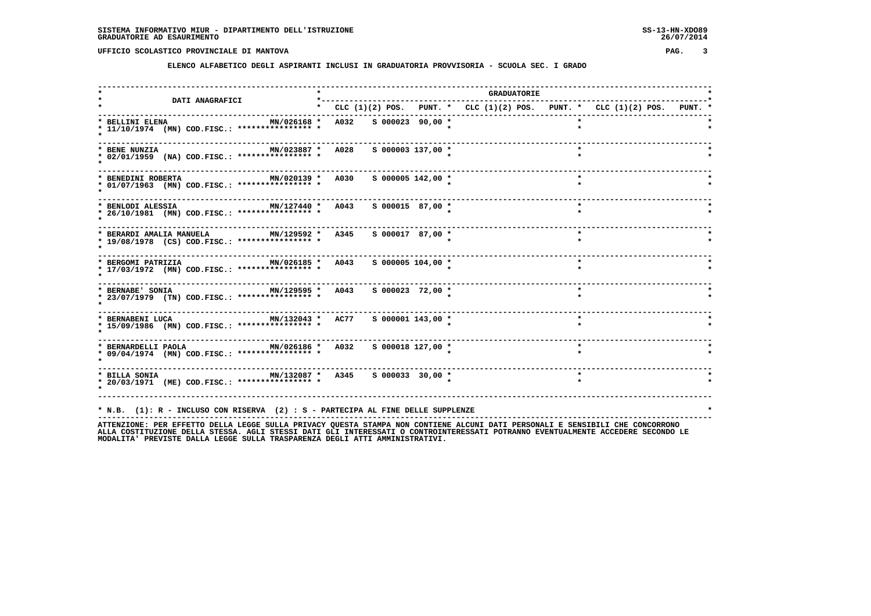**ELENCO ALFABETICO DEGLI ASPIRANTI INCLUSI IN GRADUATORIA PROVVISORIA - SCUOLA SEC. I GRADO**

| <b>DATI ANAGRAFICI</b>                                                                                                               | *---------            |                       |                                                                                 | <b>GRADUATORIE</b> |         |  |  |
|--------------------------------------------------------------------------------------------------------------------------------------|-----------------------|-----------------------|---------------------------------------------------------------------------------|--------------------|---------|--|--|
|                                                                                                                                      |                       |                       | * CLC $(1)(2)$ POS. PUNT. * CLC $(1)(2)$ POS. PUNT. * CLC $(1)(2)$ POS. PUNT. * |                    |         |  |  |
| * BELLINI ELENA<br>MN/026168 *<br>* 11/10/1974 (MN) COD.FISC.: **************** *                                                    | A032 S 000023 90,00 * |                       |                                                                                 |                    |         |  |  |
| MN/023887 * A028<br>* BENE NUNZIA<br>* 02/01/1959 (NA) COD.FISC.: **************** *                                                 |                       | $S$ 000003 137,00 $*$ |                                                                                 |                    | $\star$ |  |  |
| MN/020139 * A030<br>* BENEDINI ROBERTA<br>* 01/07/1963 (MN) COD.FISC.: **************** *                                            |                       | $S$ 000005 142,00 $*$ |                                                                                 |                    | $\star$ |  |  |
| MN/127440 * A043<br>* BENLODI ALESSIA<br>* 26/10/1981 (MN) COD.FISC.: **************** *                                             |                       | S 000015 87,00 *      |                                                                                 |                    | $\star$ |  |  |
| -----------------<br>MN/129592 * A345<br>* BERARDI AMALIA MANUELA<br>* 19/08/1978 (CS) COD.FISC.: **************** *                 |                       | $S$ 000017 87,00 *    |                                                                                 |                    | $\star$ |  |  |
| MN/026185 * A043<br>* BERGOMI PATRIZIA<br>* 17/03/1972 (MN) COD.FISC.: **************** *                                            |                       | $S$ 000005 104,00 *   |                                                                                 |                    | $\star$ |  |  |
| $MN/129595 * A043 S00002372,00*$<br>* BERNABE' SONIA<br>* 23/07/1979 (TN) COD.FISC.: **************** *                              |                       |                       |                                                                                 |                    | $\star$ |  |  |
| * BERNABENI LUCA                         MN/132043 *     AC77<br>* 15/09/1986 (MN) COD.FISC.: **************** *                     |                       | s 000001 143,00 *     |                                                                                 |                    |         |  |  |
| MN/026186 * A032<br>* BERNARDELLI PAOLA<br>* 09/04/1974 (MN) COD.FISC.: **************** *                                           |                       | S 000018 127,00 *     |                                                                                 |                    | $\star$ |  |  |
| * BILLA SONIA                           MN/132087 *   A345     S 000033   30,00 *<br>* 20/03/1971 (ME) COD.FISC.: **************** * |                       |                       |                                                                                 |                    | $\star$ |  |  |
| * N.B. (1): R - INCLUSO CON RISERVA (2) : S - PARTECIPA AL FINE DELLE SUPPLENZE                                                      |                       |                       |                                                                                 |                    |         |  |  |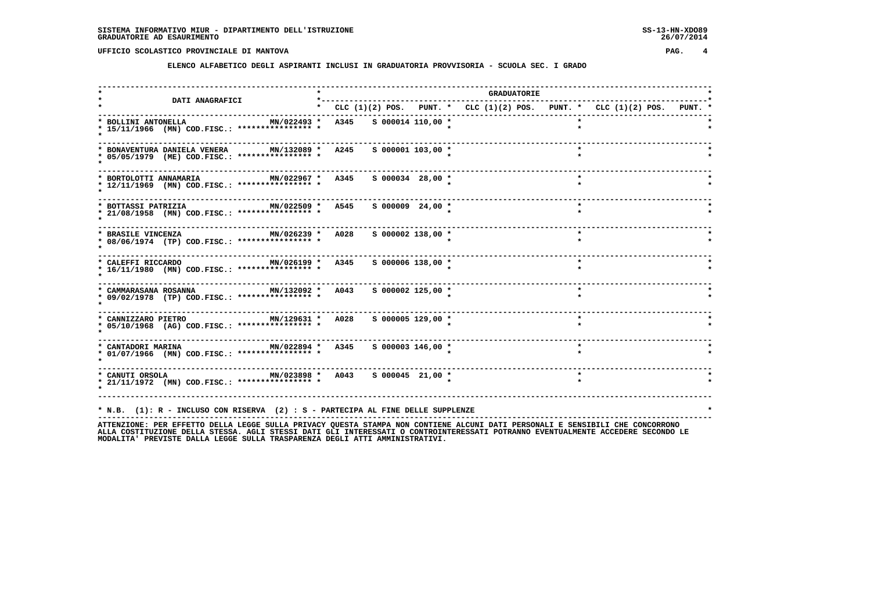**ELENCO ALFABETICO DEGLI ASPIRANTI INCLUSI IN GRADUATORIA PROVVISORIA - SCUOLA SEC. I GRADO**

|                                                                                                                                                                                                  |                                    |  | <b>GRADUATORIE</b> |         |                                                                           |  |
|--------------------------------------------------------------------------------------------------------------------------------------------------------------------------------------------------|------------------------------------|--|--------------------|---------|---------------------------------------------------------------------------|--|
| <b>DATI ANAGRAFICI</b>                                                                                                                                                                           |                                    |  |                    |         | * CLC (1)(2) POS. PUNT. * CLC (1)(2) POS. PUNT. * CLC (1)(2) POS. PUNT. * |  |
| * BOLLINI ANTONELLA<br>* 15/11/1966 (MN) COD.FISC.: **************** *                                                                                                                           | MN/022493 * A345 S 000014 110,00 * |  |                    |         |                                                                           |  |
| * BONAVENTURA DANIELA VENERA<br>* 05/05/1979 (ME) COD.FISC.: **************** *                                                                                                                  | MN/132089 * A245 S 000001 103,00 * |  |                    |         |                                                                           |  |
| MN/022967 * A345 S 000034 28,00 *<br>* BORTOLOTTI ANNAMARIA<br>* 12/11/1969 (MN) COD.FISC.: **************** *                                                                                   |                                    |  |                    | $\star$ |                                                                           |  |
| MN/022509 * A545 S 000009 24,00 *<br>* BOTTASSI PATRIZIA<br>* 21/08/1958 (MN) COD.FISC.: **************** *                                                                                      |                                    |  |                    |         | $\star$                                                                   |  |
| MN/026239 * A028<br>* BRASILE VINCENZA<br>* 08/06/1974 (TP) COD.FISC.: **************** *                                                                                                        | S 000002 138,00 *                  |  |                    |         | $\star$                                                                   |  |
| MN/026199 * A345<br>* CALEFFI RICCARDO<br>* 16/11/1980 (MN) COD.FISC.: **************** *                                                                                                        | S 000006 138,00 *                  |  |                    |         | $\star$                                                                   |  |
| MN/132092 * A043<br>* CAMMARASANA ROSANNA<br>* 09/02/1978 (TP) COD.FISC.: **************** *                                                                                                     | S 000002 125,00 *                  |  |                    |         | $\star$                                                                   |  |
| MN/129631 * A028 S 000005 129,00 *<br>* CANNIZZARO PIETRO<br>* 05/10/1968 (AG) COD.FISC.: **************** *                                                                                     |                                    |  |                    | $\star$ |                                                                           |  |
| MN/022894 * A345 S 000003 146,00 *<br>* CANTADORI MARINA<br>* 01/07/1966 (MN) COD.FISC.: **************** *                                                                                      |                                    |  |                    |         |                                                                           |  |
| * CANUTI ORSOLA 67 MN/023898 * A043 S 000045 21,00 *<br>* 21/11/1972 (MN) COD.FISC.: **************** *                                                                                          |                                    |  |                    | $\star$ |                                                                           |  |
| * N.B. (1): R - INCLUSO CON RISERVA (2) : S - PARTECIPA AL FINE DELLE SUPPLENZE<br>ATTENTIONE. סטס בספרידות המוכסים מודות המוכנית המוכים מהתאום את המוכנית המוכנית הממשברים היוסטות המוכסים המוכ |                                    |  |                    |         |                                                                           |  |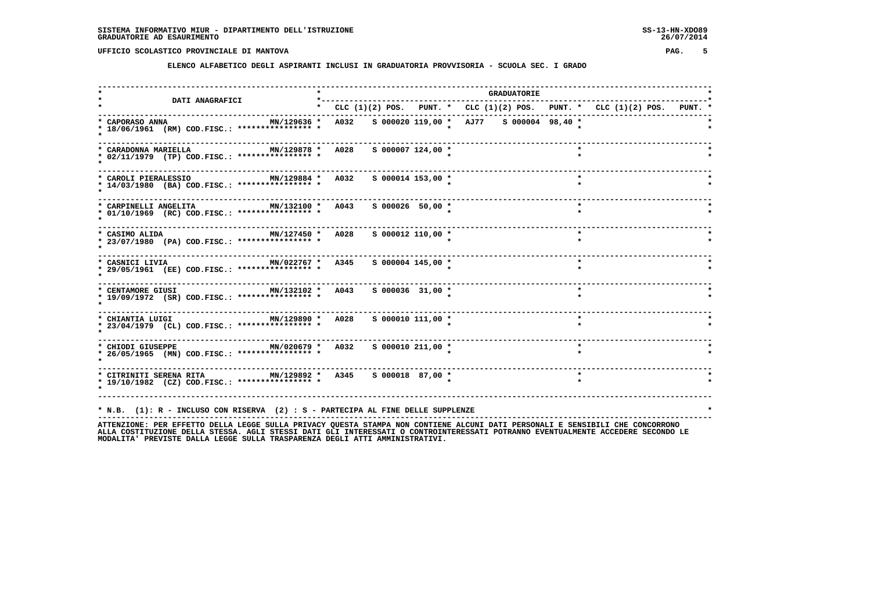**ELENCO ALFABETICO DEGLI ASPIRANTI INCLUSI IN GRADUATORIA PROVVISORIA - SCUOLA SEC. I GRADO**

| <b>DATI ANAGRAFICI</b>                                                                                                            |                                                                           |                       |  | <b>GRADUATORIE</b> |         |  |  |
|-----------------------------------------------------------------------------------------------------------------------------------|---------------------------------------------------------------------------|-----------------------|--|--------------------|---------|--|--|
|                                                                                                                                   | * CLC (1)(2) POS. PUNT. * CLC (1)(2) POS. PUNT. * CLC (1)(2) POS. PUNT. * |                       |  |                    |         |  |  |
| MN/129636 * A032  S 000020 119,00 * AJ77  S 000004  98,40 *<br>* CAPORASO ANNA<br>* 18/06/1961 (RM) COD.FISC.: **************** * |                                                                           |                       |  |                    |         |  |  |
| * CARADONNA MARIELLA<br>MN/129878 * A028<br>* 02/11/1979 (TP) COD.FISC.: **************** *                                       |                                                                           | S 000007 124,00 *     |  |                    |         |  |  |
| MN/129884 * A032<br>* CAROLI PIERALESSIO<br>* 14/03/1980 (BA) COD.FISC.: **************** *                                       |                                                                           | S 000014 153,00 *     |  |                    | $\star$ |  |  |
| MN/132100 * A043<br>* CARPINELLI ANGELITA<br>* 01/10/1969 (RC) COD.FISC.: **************** *                                      |                                                                           | S 000026 50,00 *      |  |                    | $\star$ |  |  |
| ----------------------------------<br>MN/127450 * A028<br>* CASIMO ALIDA<br>* 23/07/1980 (PA) COD.FISC.: **************** *       |                                                                           | $S$ 000012 110,00 $*$ |  |                    |         |  |  |
| MN/022767 * A345<br>* CASNICI LIVIA<br>* 29/05/1961 (EE) COD.FISC.: **************** *                                            |                                                                           | S 000004 145,00 *     |  |                    | $\star$ |  |  |
| MN/132102 * A043<br>* CENTAMORE GIUSI<br>* 19/09/1972 (SR) COD.FISC.: **************** *                                          |                                                                           | $S$ 000036 31,00 $*$  |  |                    | $\star$ |  |  |
| ------------------------------------<br>MN/129890 * A028<br>* CHIANTIA LUIGI<br>* 23/04/1979 (CL) COD.FISC.: **************** *   |                                                                           | $S$ 000010 111,00 $*$ |  |                    | $\star$ |  |  |
| $MN/020679$ * A032 S 000010 211,00 *<br>* CHIODI GIUSEPPE<br>* 26/05/1965 (MN) COD.FISC.: **************** *                      |                                                                           |                       |  |                    | $\star$ |  |  |
| * 19/10/1982 (CZ) COD.FISC.: **************** *                                                                                   |                                                                           |                       |  |                    | $\star$ |  |  |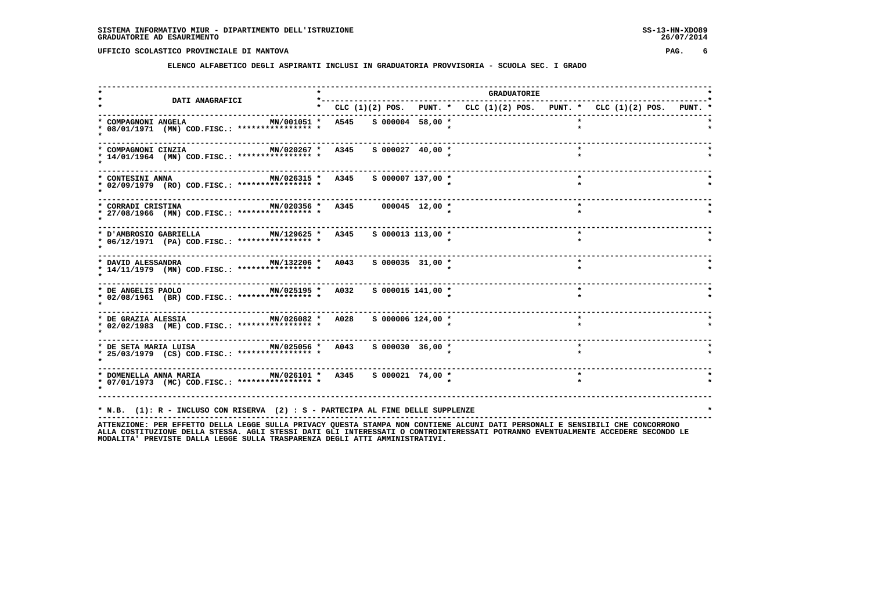**ELENCO ALFABETICO DEGLI ASPIRANTI INCLUSI IN GRADUATORIA PROVVISORIA - SCUOLA SEC. I GRADO**

| <b>DATI ANAGRAFICI</b>                                                                                      | *--------- |                     |                                                                           | <b>GRADUATORIE</b> |         |  |  |
|-------------------------------------------------------------------------------------------------------------|------------|---------------------|---------------------------------------------------------------------------|--------------------|---------|--|--|
|                                                                                                             |            |                     | * CLC (1)(2) POS. PUNT. * CLC (1)(2) POS. PUNT. * CLC (1)(2) POS. PUNT. * |                    |         |  |  |
| MN/001051 * A545 S 000004 58,00 *<br>* COMPAGNONI ANGELA<br>* 08/01/1971 (MN) COD.FISC.: **************** * |            |                     |                                                                           |                    |         |  |  |
| MN/020267 * A345<br>* COMPAGNONI CINZIA<br>* 14/01/1964 (MN) COD.FISC.: **************** *                  |            | $S$ 000027 40,00 *  |                                                                           |                    |         |  |  |
| MN/026315 * A345 S 000007 137,00 *<br>* CONTESINI ANNA<br>* 02/09/1979 (RO) COD.FISC.: **************** *   |            |                     |                                                                           |                    | $\star$ |  |  |
| MN/020356 * A345 000045 12,00 *<br>* CORRADI CRISTINA<br>* 27/08/1966 (MN) COD.FISC.: **************** *    |            |                     |                                                                           |                    | $\star$ |  |  |
| MN/129625 * A345<br>* D'AMBROSIO GABRIELLA<br>* 06/12/1971 (PA) COD.FISC.: **************** *               |            | $S$ 000013 113,00 * |                                                                           |                    | $\star$ |  |  |
| MN/132206 * A043<br>* DAVID ALESSANDRA<br>* 14/11/1979 (MN) COD.FISC.: **************** *                   |            | $S$ 000035 31,00 *  |                                                                           |                    | $\star$ |  |  |
| MN/025195 * A032 S 000015 141,00 *<br>* DE ANGELIS PAOLO<br>* 02/08/1961 (BR) COD.FISC.: **************** * |            |                     |                                                                           |                    | $\star$ |  |  |
| * 02/02/1983 (ME) COD.FISC.: **************** *                                                             |            | S 000006 124,00 *   |                                                                           |                    |         |  |  |
| * 25/03/1979 (CS) COD.FISC.: **************** *                                                             |            |                     |                                                                           |                    | $\star$ |  |  |
| * 07/01/1973 (MC) COD.FISC.: **************** *                                                             |            |                     |                                                                           |                    | $\star$ |  |  |
| * N.B. (1): R - INCLUSO CON RISERVA (2) : S - PARTECIPA AL FINE DELLE SUPPLENZE                             |            |                     |                                                                           |                    |         |  |  |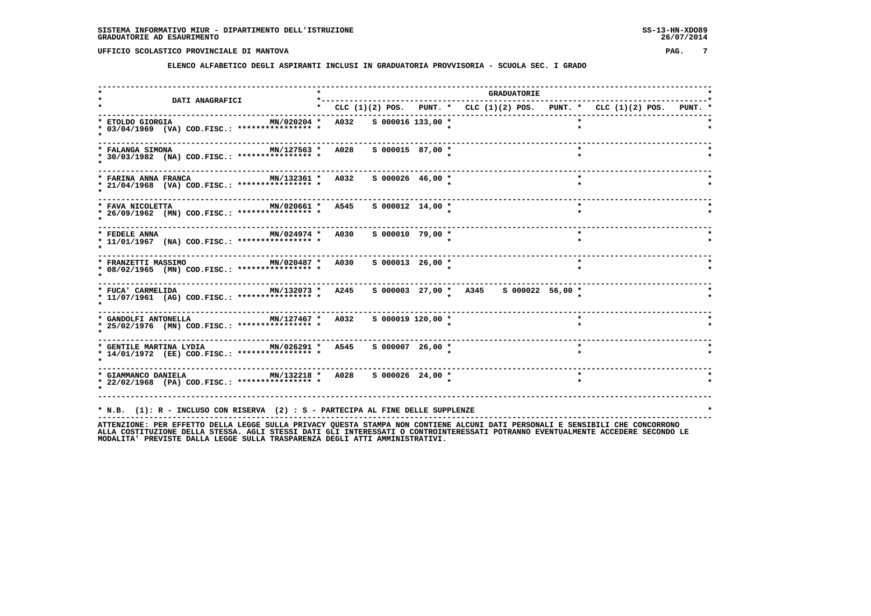**ELENCO ALFABETICO DEGLI ASPIRANTI INCLUSI IN GRADUATORIA PROVVISORIA - SCUOLA SEC. I GRADO**

|                                                                                                                                                                                                                  |                        |                    |                                                                                 | <b>GRADUATORIE</b> |         |  |  |
|------------------------------------------------------------------------------------------------------------------------------------------------------------------------------------------------------------------|------------------------|--------------------|---------------------------------------------------------------------------------|--------------------|---------|--|--|
| <b>DATI ANAGRAFICI</b>                                                                                                                                                                                           |                        |                    | * CLC $(1)(2)$ POS. PUNT. * CLC $(1)(2)$ POS. PUNT. * CLC $(1)(2)$ POS. PUNT. * |                    |         |  |  |
| MN/020204 *<br>* ETOLDO GIORGIA<br>* 03/04/1969 (VA) COD.FISC.: **************** *                                                                                                                               | A032 S 000016 133,00 * |                    |                                                                                 |                    |         |  |  |
| MN/127563 * A028<br>* FALANGA SIMONA<br>* 30/03/1982 (NA) COD.FISC.: **************** *                                                                                                                          |                        | $S$ 000015 87,00 * |                                                                                 |                    | $\star$ |  |  |
| MN/132361 * A032 S 000026 46,00 *<br>* FARINA ANNA FRANCA<br>* 21/04/1968 (VA) COD.FISC.: **************** *                                                                                                     |                        |                    |                                                                                 |                    | $\star$ |  |  |
| MN/020661 * A545 S 000012 14,00 *<br>* FAVA NICOLETTA<br>* 26/09/1962 (MN) COD.FISC.: **************** *                                                                                                         |                        |                    |                                                                                 |                    | $\star$ |  |  |
| -----------------------------------<br>MN/024974 * A030<br>* FEDELE ANNA<br>* 11/01/1967 (NA) COD.FISC.: *************** *                                                                                       |                        | $S$ 000010 79,00 * |                                                                                 |                    | $\star$ |  |  |
| MN/020487 * A030<br>* FRANZETTI MASSIMO<br>* 08/02/1965 (MN) COD.FISC.: **************** *                                                                                                                       |                        | $S$ 000013 26,00 * |                                                                                 |                    |         |  |  |
| MN/132073 * A245<br>* FUCA' CARMELIDA<br>* 11/07/1961 (AG) COD.FISC.: **************** *                                                                                                                         |                        |                    | S 000003 27,00 * A345 S 000022 56,00 *                                          |                    |         |  |  |
| $MN/127467$ * A032<br>* GANDOLFI ANTONELLA<br>* 25/02/1976 (MN) COD.FISC.: **************** *                                                                                                                    |                        | S 000019 120,00 *  |                                                                                 |                    | $\star$ |  |  |
| * 14/01/1972 (EE) COD.FISC.: **************** *                                                                                                                                                                  |                        |                    |                                                                                 |                    | $\star$ |  |  |
| * GIAMMANCO DANIELA $MN/132218$ * A028 \$ 000026 24,00 *<br>* 22/02/1968 (PA) COD.FISC.: **************** *                                                                                                      |                        |                    |                                                                                 |                    |         |  |  |
| * N.B. (1): R - INCLUSO CON RISERVA (2) : S - PARTECIPA AL FINE DELLE SUPPLENZE<br>ATTENZIONE: PER EFFETTO DELLA LEGGE SULLA PRIVACY OUESTA STAMPA NON CONTIENE ALCUNI DATI PERSONALI E SENSIBILI CHE CONCORRONO |                        |                    |                                                                                 |                    |         |  |  |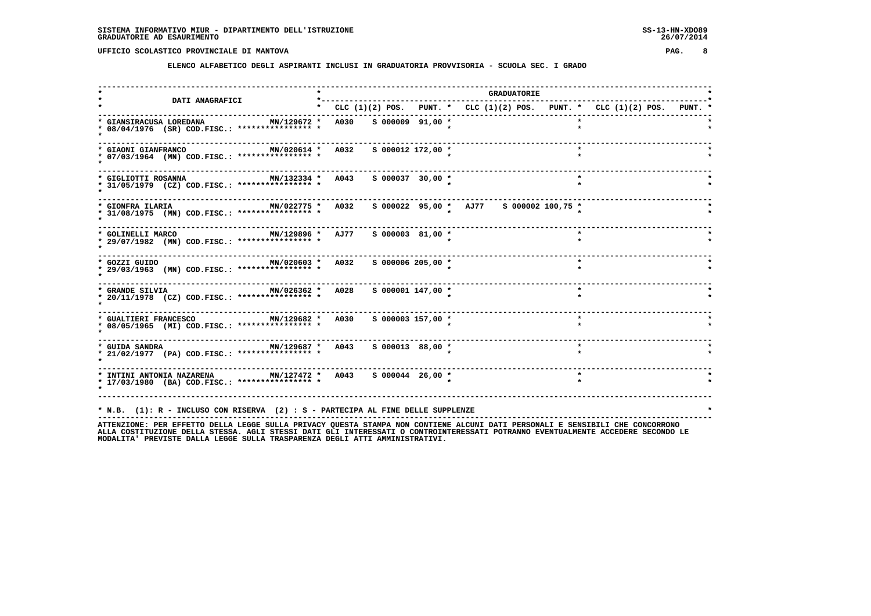**ELENCO ALFABETICO DEGLI ASPIRANTI INCLUSI IN GRADUATORIA PROVVISORIA - SCUOLA SEC. I GRADO**

|                                                                                                                |                                                                                 |                     |                                         | GRADUATORIE |         |  |  |
|----------------------------------------------------------------------------------------------------------------|---------------------------------------------------------------------------------|---------------------|-----------------------------------------|-------------|---------|--|--|
| <b>DATI ANAGRAFICI</b>                                                                                         | * CLC $(1)(2)$ POS. PUNT. * CLC $(1)(2)$ POS. PUNT. * CLC $(1)(2)$ POS. PUNT. * |                     |                                         |             |         |  |  |
| * GIANSIRACUSA LOREDANA<br>MN/129672 *<br>* 08/04/1976 (SR) COD.FISC.: **************** *                      | A030 S 000009 91,00 *                                                           |                     |                                         |             |         |  |  |
| MN/020614 * A032<br>* GIAONI GIANFRANCO<br>* 07/03/1964 (MN) COD.FISC.: **************** *                     |                                                                                 | s 000012 172,00 *   |                                         |             | $\star$ |  |  |
| * GIGLIOTTI ROSANNA<br>* 31/05/1979 (CZ) COD.FISC.: **************** *                                         | MN/132334 * A043 S 000037 30,00 *                                               |                     |                                         |             | $\star$ |  |  |
| MN/022775 * A032<br>* GIONFRA ILARIA<br>* 31/08/1975 (MN) COD.FISC.: **************** *                        |                                                                                 |                     | S 000022 95,00 * AJ77 S 000002 100,75 * |             |         |  |  |
| MN/129896 * AJ77<br>* GOLINELLI MARCO<br>* 29/07/1982 (MN) COD.FISC.: **************** *                       |                                                                                 | S 000003 81,00 *    |                                         |             | $\star$ |  |  |
| MN/020603 * A032<br>* GOZZI GUIDO<br>* 29/03/1963 (MN) COD.FISC.: **************** *                           |                                                                                 | $S$ 000006 205,00 * |                                         |             | $\star$ |  |  |
| MN/026362 * A028 S 000001 147,00 *<br>* GRANDE SILVIA<br>* 20/11/1978 (CZ) COD.FISC.: **************** *       |                                                                                 |                     |                                         |             | $\star$ |  |  |
| MN/129682 * A030 S 000003 157,00 *<br>* GUALTIERI FRANCESCO<br>* 08/05/1965 (MI) COD.FISC.: **************** * |                                                                                 |                     |                                         |             |         |  |  |
| * 21/02/1977 (PA) COD.FISC.: **************** *                                                                |                                                                                 | S 000013 88,00 *    |                                         |             | $\star$ |  |  |
| * 17/03/1980 (BA) COD.FISC.: **************** *                                                                |                                                                                 |                     |                                         |             |         |  |  |
|                                                                                                                |                                                                                 |                     |                                         |             |         |  |  |
| * N.B. (1): R - INCLUSO CON RISERVA (2) : S - PARTECIPA AL FINE DELLE SUPPLENZE                                |                                                                                 |                     |                                         |             |         |  |  |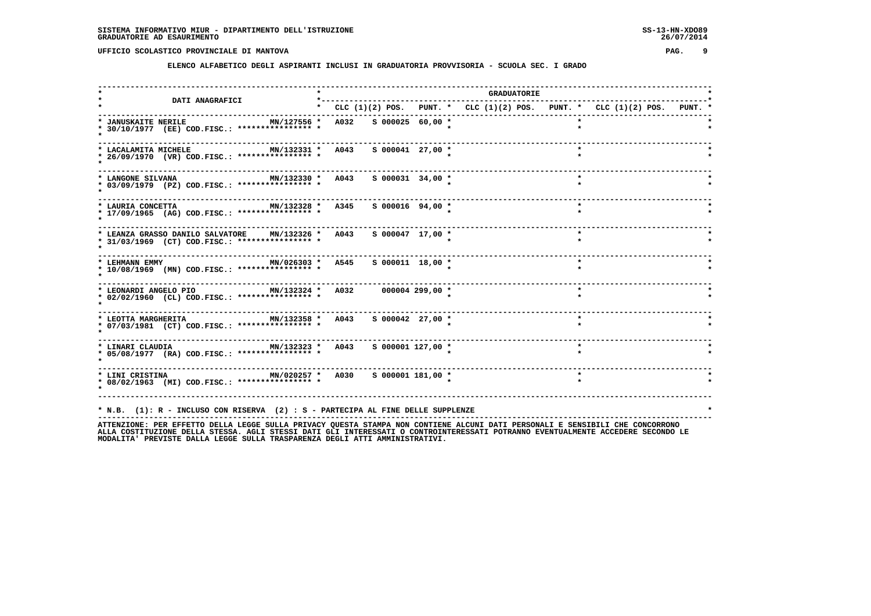**ELENCO ALFABETICO DEGLI ASPIRANTI INCLUSI IN GRADUATORIA PROVVISORIA - SCUOLA SEC. I GRADO**

| <b>DATI ANAGRAFICI</b>                                                                                                          | *---------                                                                |  | <b>GRADUATORIE</b> |         |         |  |
|---------------------------------------------------------------------------------------------------------------------------------|---------------------------------------------------------------------------|--|--------------------|---------|---------|--|
|                                                                                                                                 | * CLC (1)(2) POS. PUNT. * CLC (1)(2) POS. PUNT. * CLC (1)(2) POS. PUNT. * |  |                    |         |         |  |
| MN/127556 *<br>* JANUSKAITE NERILE<br>* 30/10/1977 (EE) COD.FISC.: **************** *                                           | A032 S 000025 60,00 *                                                     |  |                    |         |         |  |
| MN/132331 * A043<br>* LACALAMITA MICHELE<br>* 26/09/1970 (VR) COD.FISC.: **************** *                                     | $S$ 000041 27,00 *                                                        |  |                    |         | $\star$ |  |
| MN/132330 * A043<br>* LANGONE SILVANA<br>* 03/09/1979 (PZ) COD.FISC.: **************** *                                        | $S$ 000031 34,00 *                                                        |  |                    |         | $\star$ |  |
| MN/132328 * A345<br>* LAURIA CONCETTA<br>* 17/09/1965 (AG) COD.FISC.: **************** *                                        | S 000016 94,00 *                                                          |  |                    |         | $\star$ |  |
| MN/132326 * A043<br>* LEANZA GRASSO DANILO SALVATORE<br>* 31/03/1969 (CT) COD.FISC.: **************** *                         | $S$ 000047 17,00 *                                                        |  |                    |         | $\star$ |  |
| $MN/026303$ *<br>* LEHMANN EMMY<br>* 10/08/1969 (MN) COD.FISC.: *************** *                                               | A545<br>$S$ 000011 18,00 *                                                |  |                    | $\star$ |         |  |
| * LEONARDI ANGELO PIO               MN/132324 *   A032       000004 299,00 *<br>* 02/02/1960 (CL) COD.FISC.: **************** * |                                                                           |  |                    | $\star$ |         |  |
| MN/132358 * A043<br>* LEOTTA MARGHERITA<br>* 07/03/1981 (CT) COD.FISC.: **************** *                                      | S 000042 27,00 *                                                          |  |                    |         |         |  |
| * 05/08/1977 (RA) COD.FISC.: **************** *                                                                                 |                                                                           |  |                    | $\star$ |         |  |
| * 08/02/1963 (MI) COD.FISC.: **************** *                                                                                 |                                                                           |  |                    |         |         |  |
| * N.B. (1): R - INCLUSO CON RISERVA (2) : S - PARTECIPA AL FINE DELLE SUPPLENZE                                                 |                                                                           |  |                    |         |         |  |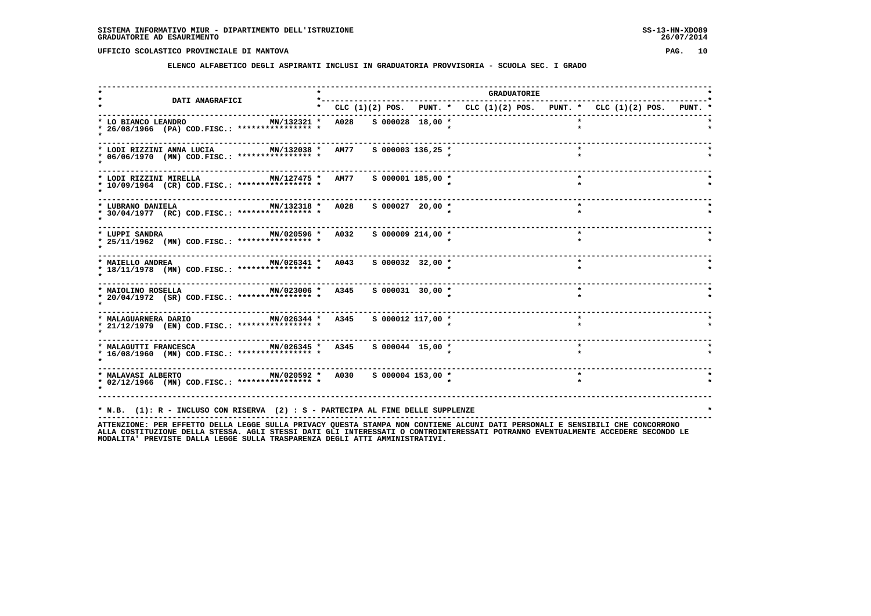**ELENCO ALFABETICO DEGLI ASPIRANTI INCLUSI IN GRADUATORIA PROVVISORIA - SCUOLA SEC. I GRADO**

| <b>DATI ANAGRAFICI</b>                                                                                                                                                                                                   |                                                                           |                       | <b>GRADUATORIE</b> |  |         |  |  |
|--------------------------------------------------------------------------------------------------------------------------------------------------------------------------------------------------------------------------|---------------------------------------------------------------------------|-----------------------|--------------------|--|---------|--|--|
|                                                                                                                                                                                                                          | * CLC (1)(2) POS. PUNT. * CLC (1)(2) POS. PUNT. * CLC (1)(2) POS. PUNT. * |                       |                    |  |         |  |  |
| MN/132321 * A028 S 000028 18,00 *<br>* LO BIANCO LEANDRO<br>* 26/08/1966 (PA) COD.FISC.: **************** *                                                                                                              |                                                                           |                       |                    |  |         |  |  |
| MN/132038 * AM77<br>* LODI RIZZINI ANNA LUCIA<br>* 06/06/1970 (MN) COD.FISC.: **************** *                                                                                                                         |                                                                           | $S$ 000003 136,25 *   |                    |  |         |  |  |
| MN/127475 * AM77 S 000001 185,00 *<br>* LODI RIZZINI MIRELLA<br>* 10/09/1964 (CR) COD.FISC.: **************** *                                                                                                          |                                                                           |                       |                    |  | $\star$ |  |  |
| MN/132318 * A028 S 000027 20,00 *<br>* LUBRANO DANIELA<br>* 30/04/1977 (RC) COD.FISC.: **************** *                                                                                                                |                                                                           |                       |                    |  | $\star$ |  |  |
| ------------------------------------<br>MN/020596 * A032<br>* LUPPI SANDRA<br>* 25/11/1962 (MN) COD.FISC.: **************** *                                                                                            |                                                                           | $S$ 000009 214,00 $*$ |                    |  |         |  |  |
| --------------------------------<br>MN/026341 * A043<br>* MAIELLO ANDREA<br>* 18/11/1978 (MN) COD.FISC.: *************** *                                                                                               |                                                                           | S 000032 32,00 *      |                    |  | $\star$ |  |  |
| MN/023006 * A345 S 000031 30,00 *<br>* MAIOLINO ROSELLA<br>* 20/04/1972 (SR) COD.FISC.: **************** *                                                                                                               |                                                                           |                       |                    |  | $\star$ |  |  |
| * MALAGUARNERA DARIO<br>* 21/12/1979 (EN) COD.FISC.: **************** *                                                                                                                                                  |                                                                           |                       |                    |  |         |  |  |
| * MALAGUTTI FRANCESCA MN/026345 * A345<br>* 16/08/1960 (MN) COD.FISC.: **************** *                                                                                                                                |                                                                           | S 000044 15,00 *      |                    |  |         |  |  |
| * MALAVASI ALBERTO 6 MN/020592 * A030 S 000004 153,00 *<br>* 02/12/1966 (MN) COD.FISC.: **************** *                                                                                                               |                                                                           |                       |                    |  | $\star$ |  |  |
| * N.B. (1): R - INCLUSO CON RISERVA (2) : S - PARTECIPA AL FINE DELLE SUPPLENZE<br>ATTENTIONE. OF FEET ON THE CONFIDENTIAL STILLE STILLER ON THE STANDA NON CONTIENT ALCUNITE ATTE OF CONTALLE CENCELLITE CUP CONCORDONO |                                                                           |                       |                    |  |         |  |  |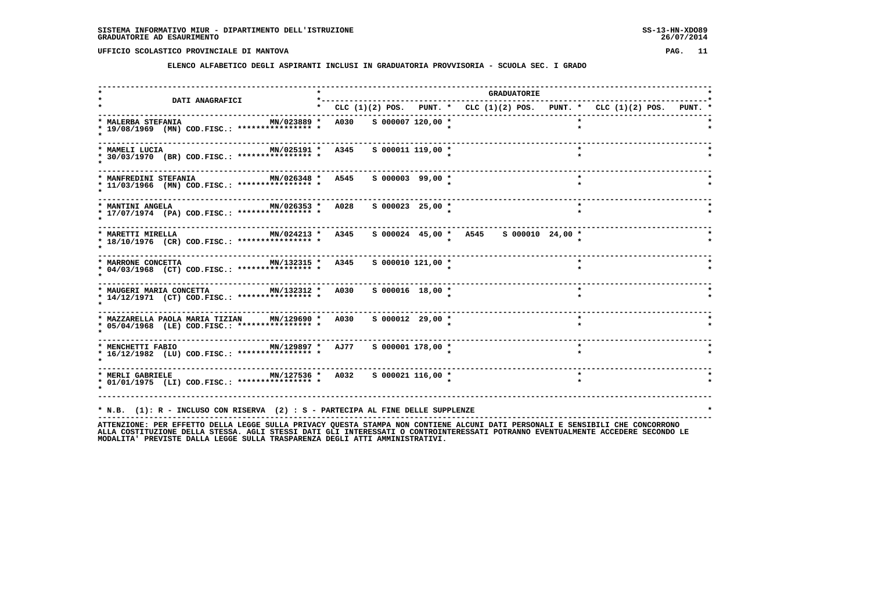**ELENCO ALFABETICO DEGLI ASPIRANTI INCLUSI IN GRADUATORIA PROVVISORIA - SCUOLA SEC. I GRADO**

|                                                                                                                                                                                                                 |                        |                       |                                        | <b>GRADUATORIE</b> |                                                                                 |  |
|-----------------------------------------------------------------------------------------------------------------------------------------------------------------------------------------------------------------|------------------------|-----------------------|----------------------------------------|--------------------|---------------------------------------------------------------------------------|--|
| <b>DATI ANAGRAFICI</b>                                                                                                                                                                                          |                        |                       |                                        |                    | * CLC $(1)(2)$ POS. PUNT. * CLC $(1)(2)$ POS. PUNT. * CLC $(1)(2)$ POS. PUNT. * |  |
| * MALERBA STEFANIA<br>MN/023889 *<br>* 19/08/1969 (MN) COD.FISC.: **************** *                                                                                                                            | A030 S 000007 120,00 * |                       |                                        |                    |                                                                                 |  |
| MN/025191 * A345<br>* MAMELI LUCIA<br>* 30/03/1970 (BR) COD.FISC.: **************** *                                                                                                                           |                        | $S$ 000011 119,00 $*$ |                                        |                    | $\star$                                                                         |  |
| MN/026348 * A545 S 000003 99,00 *<br>* MANFREDINI STEFANIA<br>* 11/03/1966 (MN) COD.FISC.: **************** *                                                                                                   |                        |                       |                                        |                    | $\star$                                                                         |  |
| MN/026353 * A028<br>* MANTINI ANGELA<br>* 17/07/1974 (PA) COD.FISC.: **************** *                                                                                                                         |                        | $S$ 000023 25,00 $*$  |                                        |                    | $\star$                                                                         |  |
| -----------------------<br>MN/024213 * A345<br>* MARETTI MIRELLA<br>* 18/10/1976 (CR) COD.FISC.: **************** *                                                                                             |                        |                       | s 000024 45,00 * A545 s 000010 24,00 * |                    |                                                                                 |  |
| MN/132315 * A345<br>* MARRONE CONCETTA<br>* 04/03/1968 (CT) COD.FISC.: **************** *                                                                                                                       |                        | S 000010 121,00 *     |                                        |                    | $\star$                                                                         |  |
| MN/132312 * A030 S 000016 18,00 *<br>* MAUGERI MARIA CONCETTA<br>* 14/12/1971 (CT) COD.FISC.: **************** *                                                                                                |                        |                       |                                        |                    | $\star$                                                                         |  |
| * MAZZARELLA PAOLA MARIA TIZIAN MN/129690 * A030 \$ 000012 29,00 *<br>* 05/04/1968 (LE) COD.FISC.: **************** *                                                                                           |                        |                       |                                        |                    |                                                                                 |  |
| * MENCHETTI FABIO                   MN/129897 *   AJ77     S 000001 178,00 *<br>* 16/12/1982 (LU) COD.FISC.: **************** *                                                                                 |                        |                       |                                        |                    |                                                                                 |  |
| * MERLI GABRIELE MN/127536 * A032 S 000021 116,00 *<br>* 01/01/1975 (LI) COD.FISC.: **************** *                                                                                                          |                        |                       |                                        |                    | $\star$                                                                         |  |
| * N.B. (1): R - INCLUSO CON RISERVA (2) : S - PARTECIPA AL FINE DELLE SUPPLENZE<br>ATTENTIONE. OF FEDERAL ARILLA LECCE CULLA DOTUACY OUFCRA CRANDA NON CONTIENT ALCUNI DATI DEDCONALI F CENCIDILI CUF CONCODONO |                        |                       |                                        |                    |                                                                                 |  |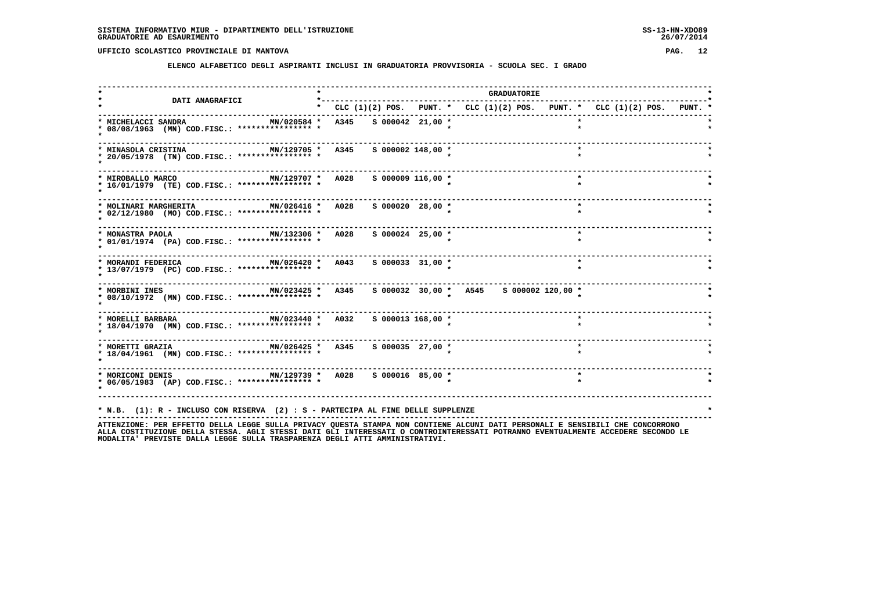**ELENCO ALFABETICO DEGLI ASPIRANTI INCLUSI IN GRADUATORIA PROVVISORIA - SCUOLA SEC. I GRADO**

|                                                                                                                                                                                                                 |                                                                                 |                       |  | <b>GRADUATORIE</b> |  |         |  |  |  |
|-----------------------------------------------------------------------------------------------------------------------------------------------------------------------------------------------------------------|---------------------------------------------------------------------------------|-----------------------|--|--------------------|--|---------|--|--|--|
| DATI ANAGRAFICI                                                                                                                                                                                                 | * CLC $(1)(2)$ POS. PUNT. * CLC $(1)(2)$ POS. PUNT. * CLC $(1)(2)$ POS. PUNT. * |                       |  |                    |  |         |  |  |  |
| * MICHELACCI SANDRA<br>MN/020584 *<br>* 08/08/1963 (MN) COD.FISC.: **************** *                                                                                                                           | A345                                                                            | $S$ 000042 21,00 *    |  |                    |  |         |  |  |  |
| MN/129705 * A345<br>* MINASOLA CRISTINA<br>* 20/05/1978 (TN) COD.FISC.: **************** *                                                                                                                      |                                                                                 | $S$ 000002 148,00 $*$ |  |                    |  | $\star$ |  |  |  |
| MN/129707 * A028<br>* MIROBALLO MARCO<br>* 16/01/1979 (TE) COD.FISC.: **************** *                                                                                                                        |                                                                                 | $S$ 000009 116,00 $*$ |  |                    |  | $\star$ |  |  |  |
| MN/026416 * A028<br>* MOLINARI MARGHERITA<br>* 02/12/1980 (MO) COD.FISC.: **************** *                                                                                                                    |                                                                                 | S 000020 28,00 *      |  |                    |  | $\star$ |  |  |  |
| -----------------------------------<br>MN/132306 * A028<br>* MONASTRA PAOLA<br>* 01/01/1974 (PA) COD.FISC.: **************** *                                                                                  |                                                                                 | $S$ 000024 25,00 *    |  |                    |  |         |  |  |  |
| -------------------------<br>MN/026420 * A043<br>* MORANDI FEDERICA<br>* 13/07/1979 (PC) COD.FISC.: **************** *                                                                                          |                                                                                 | $S$ 000033 31,00 *    |  |                    |  | $\star$ |  |  |  |
| MN/023425 * A345 \$ 000032 30,00 * A545 \$ 000002 120,00 *<br>* MORBINI INES<br>* 08/10/1972 (MN) COD.FISC.: **************** *                                                                                 |                                                                                 |                       |  |                    |  |         |  |  |  |
| MN/023440 * A032 S 000013 168,00 *<br>* MORELLI BARBARA<br>* 18/04/1970 (MN) COD.FISC.: **************** *                                                                                                      |                                                                                 |                       |  |                    |  |         |  |  |  |
| * MORETTI GRAZIA * 1999 MN/026425 * 1994<br>* 18/04/1961 (MN) COD.FISC.: **************** *                                                                                                                     |                                                                                 | $S$ 000035 27,00 $*$  |  |                    |  | $\star$ |  |  |  |
| * MORICONI DENIS                       MN/129739 *   A028     S 000016   85,00 *<br>* 06/05/1983 (AP) COD.FISC.: **************** *                                                                             |                                                                                 |                       |  |                    |  | $\star$ |  |  |  |
| * N.B. (1): R - INCLUSO CON RISERVA (2) : S - PARTECIPA AL FINE DELLE SUPPLENZE<br>ATTENTIONE. OF FEDERAL ARILLA LECCE CULLA DOTUACY OUFCRA CRANDA NON CONTIENT ALCUNI DATI DEDCONALI F CENCIDILI CUF CONCODONO |                                                                                 |                       |  |                    |  |         |  |  |  |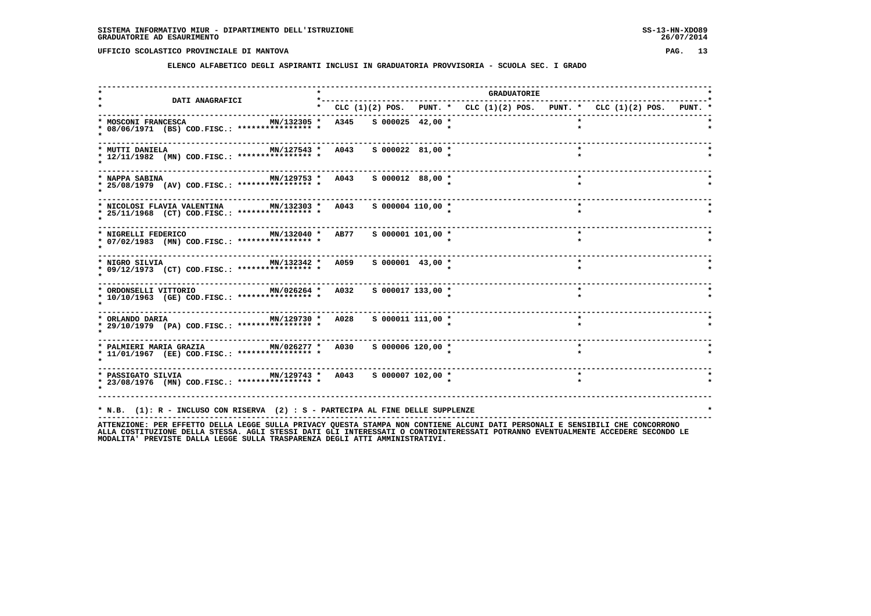**ELENCO ALFABETICO DEGLI ASPIRANTI INCLUSI IN GRADUATORIA PROVVISORIA - SCUOLA SEC. I GRADO**

|                                                                                                            |  |                       |  |                                                                                 | <b>GRADUATORIE</b> |           |  |  |
|------------------------------------------------------------------------------------------------------------|--|-----------------------|--|---------------------------------------------------------------------------------|--------------------|-----------|--|--|
| <b>DATI ANAGRAFICI</b>                                                                                     |  |                       |  | * CLC $(1)(2)$ POS. PUNT. * CLC $(1)(2)$ POS. PUNT. * CLC $(1)(2)$ POS. PUNT. * |                    |           |  |  |
| * MOSCONI FRANCESCA<br>MN/132305 * A345<br>* 08/06/1971 (BS) COD.FISC.: **************** *                 |  | $S$ 000025 42,00 *    |  |                                                                                 |                    |           |  |  |
| MN/127543 * A043<br>* MUTTI DANIELA<br>* 12/11/1982 (MN) COD.FISC.: **************** *                     |  | S 000022 81,00 *      |  |                                                                                 |                    |           |  |  |
| MN/129753 * A043 S 000012 88,00 *<br>* NAPPA SABINA<br>* 25/08/1979 (AV) COD.FISC.: **************** *     |  |                       |  |                                                                                 |                    | $\star$   |  |  |
| * NICOLOSI FLAVIA VALENTINA MN/132303 * A043<br>* 25/11/1968 (CT) COD.FISC.: **************** *            |  | $S$ 000004 110,00 $*$ |  |                                                                                 |                    | $\star$   |  |  |
| MN/132040 * AB77<br>* NIGRELLI FEDERICO<br>* 07/02/1983 (MN) COD.FISC.: **************** *                 |  | $S$ 000001 101,00 *   |  |                                                                                 |                    |           |  |  |
| . <u>.</u> .<br>MN/132342 * A059<br>* NIGRO SILVIA<br>* 09/12/1973 (CT) COD.FISC.: **************** *      |  | $S$ 000001 43,00 *    |  |                                                                                 |                    | $\star$   |  |  |
| MN/026264 * A032<br>* ORDONSELLI VITTORIO<br>* 10/10/1963 (GE) COD.FISC.: **************** *               |  | S 000017 133,00 *     |  |                                                                                 |                    | $\star$   |  |  |
| MN/129730 * A028<br>* ORLANDO DARIA<br>* 29/10/1979 (PA) COD.FISC.: **************** *                     |  | S 000011 111,00 *     |  |                                                                                 |                    | $\bullet$ |  |  |
| * 11/01/1967 (EE) COD.FISC.: **************** *                                                            |  | S 000006 120,00 *     |  |                                                                                 |                    |           |  |  |
| * PASSIGATO SILVIA $MN/129743$ * A043 S 000007 102,00 *<br>* 23/08/1976 (MN) COD.FISC.: **************** * |  |                       |  |                                                                                 |                    |           |  |  |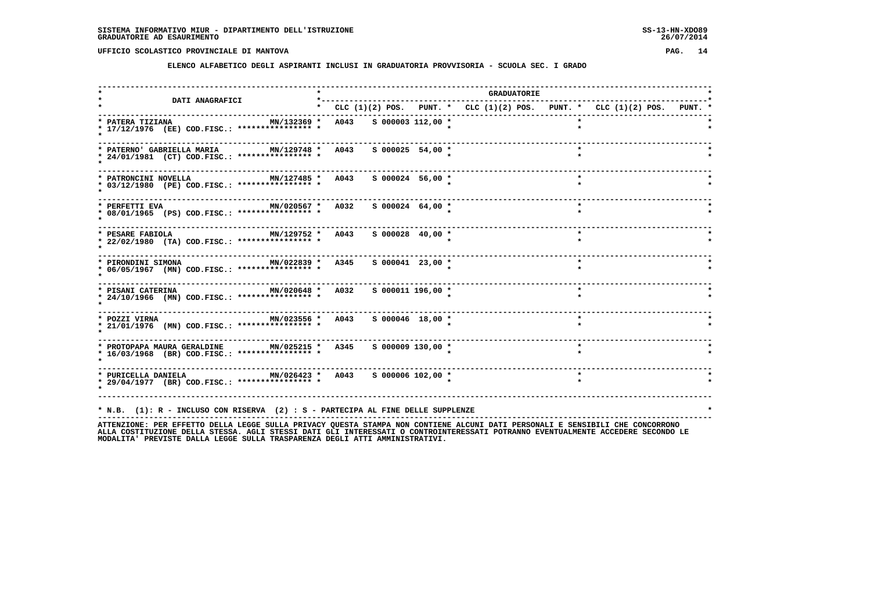**ELENCO ALFABETICO DEGLI ASPIRANTI INCLUSI IN GRADUATORIA PROVVISORIA - SCUOLA SEC. I GRADO**

| <b>DATI ANAGRAFICI</b>                                                                                                          |                                                                           |                      |  | <b>GRADUATORIE</b> |         |  |  |
|---------------------------------------------------------------------------------------------------------------------------------|---------------------------------------------------------------------------|----------------------|--|--------------------|---------|--|--|
|                                                                                                                                 | * CLC (1)(2) POS. PUNT. * CLC (1)(2) POS. PUNT. * CLC (1)(2) POS. PUNT. * |                      |  |                    |         |  |  |
| * PATERA TIZIANA<br>* 17/12/1976 (EE) COD.FISC.: **************** *                                                             | MN/132369 * A043 S 000003 112,00 *                                        |                      |  |                    |         |  |  |
| MN/129748 * A043<br>* PATERNO' GABRIELLA MARIA<br>* 24/01/1981 (CT) COD.FISC.: **************** *                               |                                                                           | $S$ 000025 54,00 *   |  |                    |         |  |  |
| MN/127485 * A043 S 000024 56,00 *<br>* PATRONCINI NOVELLA<br>* 03/12/1980 (PE) COD.FISC.: **************** *                    |                                                                           |                      |  |                    | $\star$ |  |  |
| * PERFETTI EVA<br>* 08/01/1965 (PS) COD.FISC.: **************** *                                                               | MN/020567 * A032 S 000024 64,00 *                                         |                      |  |                    | $\star$ |  |  |
| ------------------------------<br>MN/129752 * A043<br>* PESARE FABIOLA<br>* 22/02/1980 (TA) COD.FISC.: **************** *       |                                                                           | S 000028 40,00 *     |  |                    | $\star$ |  |  |
| -----------------------------<br>MN/022839 * A345<br>* PIRONDINI SIMONA<br>* 06/05/1967 (MN) COD.FISC.: **************** *      |                                                                           | $S$ 000041 23,00 $*$ |  |                    | $\star$ |  |  |
| MN/020648 * A032 S 000011 196,00 *<br>* PISANI CATERINA<br>* 24/10/1966 (MN) COD.FISC.: **************** *                      |                                                                           |                      |  |                    | $\star$ |  |  |
| * POZZI VIRNA                         MN/023556 *   A043     S 000046 18,00 *<br>* 21/01/1976 (MN) COD.FISC.: *************** * |                                                                           |                      |  |                    | $\star$ |  |  |
| * PROTOPAPA MAURA GERALDINE MN/025215 * A345 S 000009 130,00 *<br>* 16/03/1968 (BR) COD.FISC.: **************** *               |                                                                           |                      |  |                    | $\star$ |  |  |
| * PURICELLA DANIELA MN/026423 * A043 S 000006 102,00 *<br>* 29/04/1977 (BR) COD.FISC.: *************** *                        |                                                                           |                      |  |                    |         |  |  |
|                                                                                                                                 |                                                                           |                      |  |                    |         |  |  |
| * N.B. (1): R - INCLUSO CON RISERVA (2) : S - PARTECIPA AL FINE DELLE SUPPLENZE                                                 |                                                                           |                      |  |                    |         |  |  |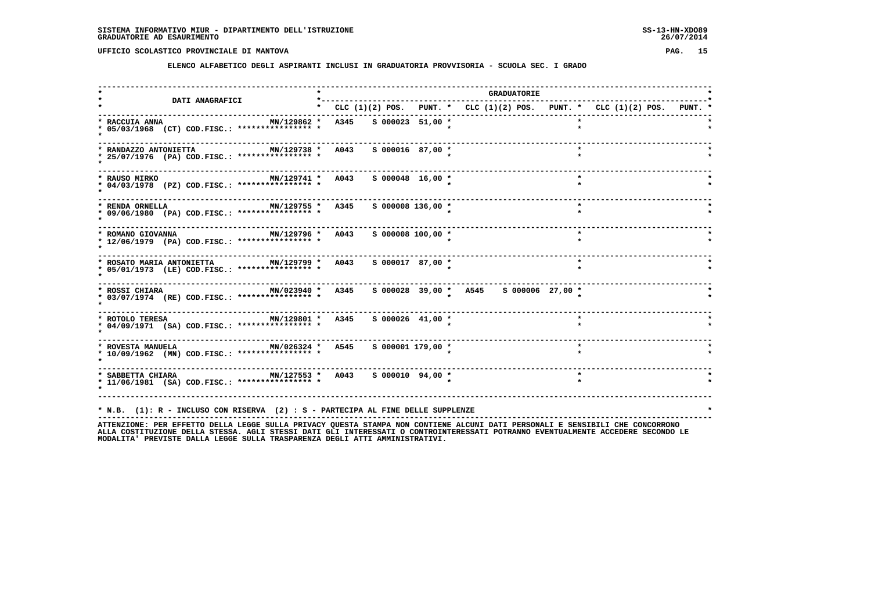**ELENCO ALFABETICO DEGLI ASPIRANTI INCLUSI IN GRADUATORIA PROVVISORIA - SCUOLA SEC. I GRADO**

|                                                                                                                                                                                                                 |      |                       |  | <b>GRADUATORIE</b> |                                                                           |  |
|-----------------------------------------------------------------------------------------------------------------------------------------------------------------------------------------------------------------|------|-----------------------|--|--------------------|---------------------------------------------------------------------------|--|
| <b>DATI ANAGRAFICI</b>                                                                                                                                                                                          |      |                       |  |                    | * CLC (1)(2) POS. PUNT. * CLC (1)(2) POS. PUNT. * CLC (1)(2) POS. PUNT. * |  |
| MN/129862 *<br>* RACCUIA ANNA<br>* 05/03/1968 (CT) COD.FISC.: **************** *                                                                                                                                | A345 | $S$ 000023 51,00 *    |  |                    | $\star$                                                                   |  |
| MN/129738 * A043<br>* RANDAZZO ANTONIETTA<br>* 25/07/1976 (PA) COD.FISC.: **************** *                                                                                                                    |      | S 000016 87,00 *      |  |                    |                                                                           |  |
| MN/129741 * A043 S 000048 16,00 *<br>* RAUSO MIRKO<br>* 04/03/1978 (PZ) COD.FISC.: **************** *                                                                                                           |      |                       |  |                    | $\star$                                                                   |  |
| MN/129755 * A345<br>* RENDA ORNELLA<br>* 09/06/1980 (PA) COD.FISC.: **************** *                                                                                                                          |      | S 000008 136,00 *     |  |                    | $\star$                                                                   |  |
| -------------------------<br>MN/129796 * A043<br>* ROMANO GIOVANNA<br>* 12/06/1979 (PA) COD.FISC.: **************** *                                                                                           |      | $S$ 000008 100,00 $*$ |  |                    | $\star$                                                                   |  |
| MN/129799 * A043<br>* ROSATO MARIA ANTONIETTA<br>* 05/01/1973 (LE) COD.FISC.: **************** *                                                                                                                |      | S 000017 87,00 *      |  |                    | $\star$                                                                   |  |
| MN/023940 * A345 \$ 000028 39,00 * A545 \$ 000006 27,00 *<br>* ROSSI CHIARA<br>* 03/07/1974 (RE) COD.FISC.: **************** *                                                                                  |      |                       |  |                    |                                                                           |  |
| * 04/09/1971 (SA) COD.FISC.: **************** *                                                                                                                                                                 |      |                       |  |                    |                                                                           |  |
| * ROVESTA MANUELA $MN/026324$ * A545<br>* 10/09/1962 (MN) COD.FISC.: **************** *                                                                                                                         |      | S 000001 179,00 *     |  |                    | $\star$                                                                   |  |
| * 11/06/1981 (SA) COD.FISC.: **************** *                                                                                                                                                                 |      |                       |  |                    | $\star$                                                                   |  |
| * N.B. (1): R - INCLUSO CON RISERVA (2) : S - PARTECIPA AL FINE DELLE SUPPLENZE<br>ATTENTIONE. OF FEDERAL ARILLA LECCE CULLA DOTUACY OUFCRA CRANDA NON CONTIENT ALCUNI DATI DEDCONALI F CENCIDILI CUF CONCODONO |      |                       |  |                    |                                                                           |  |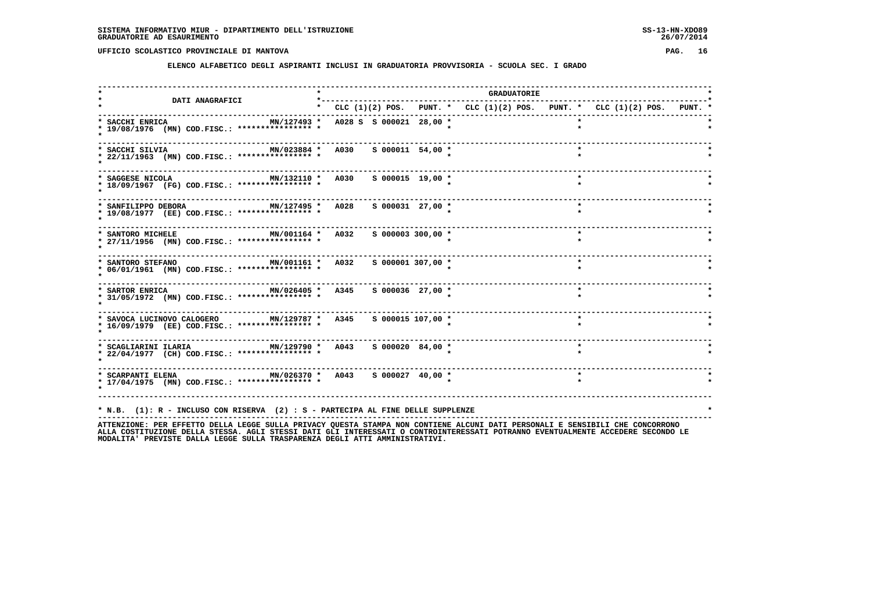**ELENCO ALFABETICO DEGLI ASPIRANTI INCLUSI IN GRADUATORIA PROVVISORIA - SCUOLA SEC. I GRADO**

|                                                                                                                                                                                                                  |                                                                           |  | GRADUATORIE |  |         |  |
|------------------------------------------------------------------------------------------------------------------------------------------------------------------------------------------------------------------|---------------------------------------------------------------------------|--|-------------|--|---------|--|
| <b>DATI ANAGRAFICI</b>                                                                                                                                                                                           | * CLC (1)(2) POS. PUNT. * CLC (1)(2) POS. PUNT. * CLC (1)(2) POS. PUNT. * |  |             |  |         |  |
| * SACCHI ENRICA<br>* 19/08/1976 (MN) COD.FISC.: **************** *                                                                                                                                               | MN/127493 * A028 S S 000021 28,00 *                                       |  |             |  |         |  |
| MN/023884 * A030<br>* SACCHI SILVIA<br>* 22/11/1963 (MN) COD.FISC.: **************** *                                                                                                                           | $S$ 000011 54,00 *                                                        |  |             |  |         |  |
| --------------------------<br>MN/132110 * A030 S 000015 19,00 *<br>* SAGGESE NICOLA<br>* 18/09/1967 (FG) COD.FISC.: **************** *                                                                           |                                                                           |  |             |  | $\star$ |  |
| * SANFILIPPO DEBORA<br>MN/127495 * A028<br>* 19/08/1977 (EE) COD.FISC.: **************** *                                                                                                                       | $S$ 000031 27,00 *                                                        |  |             |  | $\star$ |  |
| -----------------------------<br>MN/001164 * A032<br>* SANTORO MICHELE<br>* 27/11/1956 (MN) COD.FISC.: **************** *                                                                                        | $S$ 000003 300,00 $*$                                                     |  |             |  |         |  |
| ------------------------<br>MN/001161 * A032<br>* SANTORO STEFANO<br>* 06/01/1961 (MN) COD.FISC.: **************** *                                                                                             | $S$ 000001 307,00 $*$                                                     |  |             |  | $\star$ |  |
| MN/026405 * A345<br>* SARTOR ENRICA<br>* 31/05/1972 (MN) COD.FISC.: **************** *                                                                                                                           | S 000036 27,00 *                                                          |  |             |  | $\star$ |  |
| * SAVOCA LUCINOVO CALOGERO MN/129787 * A345 S 000015 107,00 *<br>* 16/09/1979 (EE) COD.FISC.: **************** *                                                                                                 |                                                                           |  |             |  |         |  |
| * 22/04/1977 (CH) COD.FISC.: **************** *                                                                                                                                                                  | S 000020 84,00 *                                                          |  |             |  |         |  |
| * SCARPANTI ELENA                         MN/026370 *   A043     S 000027   40,00 *<br>* 17/04/1975 (MN) COD.FISC.: **************** *                                                                           |                                                                           |  |             |  |         |  |
| * N.B. (1): R - INCLUSO CON RISERVA (2) : S - PARTECIPA AL FINE DELLE SUPPLENZE<br>ATTENTIONE. DER EFFETTO DELLA LECCE SULLA DEIVACY OUESTA STANDA NON CONTIENE ALCUNI DATI DEDSONALI E SENSIBILI CHE CONCORDONO |                                                                           |  |             |  |         |  |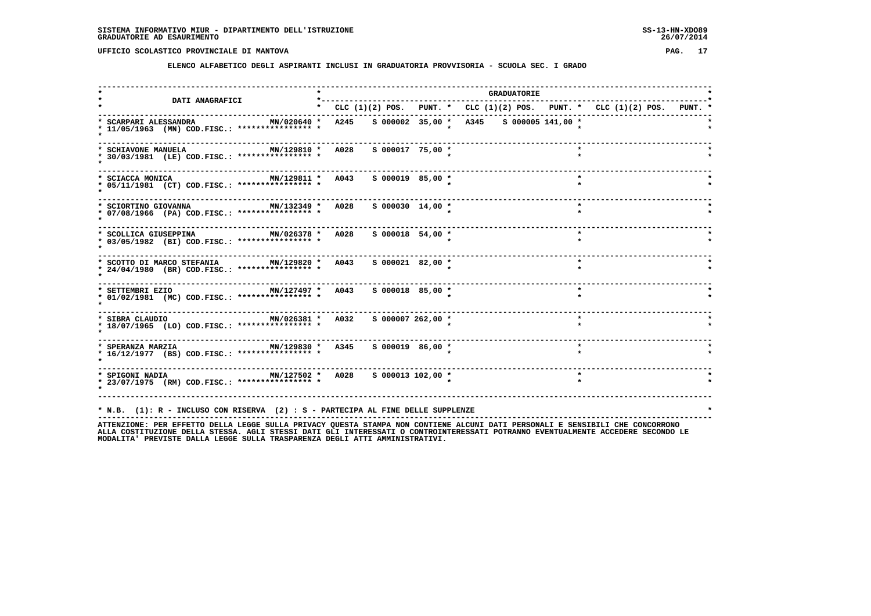**ELENCO ALFABETICO DEGLI ASPIRANTI INCLUSI IN GRADUATORIA PROVVISORIA - SCUOLA SEC. I GRADO**

|                                                                                                                                           |                                                                                 |                                                                           |  |                      |  |  |  | <b>GRADUATORIE</b> |                            |         |  |  |  |  |
|-------------------------------------------------------------------------------------------------------------------------------------------|---------------------------------------------------------------------------------|---------------------------------------------------------------------------|--|----------------------|--|--|--|--------------------|----------------------------|---------|--|--|--|--|
| <b>DATI ANAGRAFICI</b>                                                                                                                    |                                                                                 | * CLC (1)(2) POS. PUNT. * CLC (1)(2) POS. PUNT. * CLC (1)(2) POS. PUNT. * |  |                      |  |  |  |                    |                            |         |  |  |  |  |
| MN/020640 * A245 S 000002 35,00 * A345 S 000005 141,00 *<br>* SCARPARI ALESSANDRA<br>* 11/05/1963 (MN) COD.FISC.: **************** *      |                                                                                 |                                                                           |  |                      |  |  |  |                    |                            |         |  |  |  |  |
| MN/129810 * A028<br>* SCHIAVONE MANUELA<br>* 30/03/1981 (LE) COD.FISC.: **************** *                                                |                                                                                 |                                                                           |  | S 000017 75,00 *     |  |  |  |                    |                            |         |  |  |  |  |
| MN/129811 * A043 S 000019 85,00 *<br>* SCIACCA MONICA<br>* 05/11/1981 (CT) COD.FISC.: **************** *                                  |                                                                                 |                                                                           |  |                      |  |  |  |                    |                            | $\star$ |  |  |  |  |
| ----------------------<br>MN/132349 * A028 S 000030 14,00 *<br>* SCIORTINO GIOVANNA<br>* 07/08/1966 (PA) COD.FISC.: **************** *    |                                                                                 |                                                                           |  |                      |  |  |  |                    |                            | $\star$ |  |  |  |  |
| MN/026378 * A028<br>* SCOLLICA GIUSEPPINA<br>* 03/05/1982 (BI) COD.FISC.: **************** *                                              |                                                                                 |                                                                           |  | $S$ 000018 54,00 *   |  |  |  |                    |                            | $\star$ |  |  |  |  |
| * SCOTTO DI MARCO STEFANIA MN/129820 * A043<br>* 24/04/1980 (BR) COD.FISC.: **************** *                                            |                                                                                 |                                                                           |  | $S$ 000021 82,00 $*$ |  |  |  |                    |                            | $\star$ |  |  |  |  |
| * SETTEMBRI EZIO<br>* 01/02/1981 (MC) COD.FISC.: **************** *                                                                       |                                                                                 |                                                                           |  |                      |  |  |  |                    |                            | $\star$ |  |  |  |  |
| * SIBRA CLAUDIO                               MN/026381 *   A032     S 000007 262,00 *<br>* 18/07/1965 (LO) COD.FISC.: **************** * |                                                                                 |                                                                           |  |                      |  |  |  |                    |                            | $\star$ |  |  |  |  |
| * SPERANZA MARZIA                     MN/129830 *   A345     5 000019   86,00 *<br>* 16/12/1977 (BS) COD.FISC.: **************** *        |                                                                                 |                                                                           |  |                      |  |  |  |                    |                            | $\star$ |  |  |  |  |
| * SPIGONI NADIA $MN/127502$ * A028 S 000013 102,00 *<br>* 23/07/1975 (RM) COD.FISC.: **************** *                                   |                                                                                 | ------------------------------                                            |  |                      |  |  |  |                    | -------------------------- | $\star$ |  |  |  |  |
| ATTRODUCTONE. DED EEETT A LECCE CULLA DOTUACY OUECTA CTAMDA NON CONTIENT ALCUNIT DATE DEDCONALI E CENCIDITY CUE CONCOODONO                | * N.B. (1): R - INCLUSO CON RISERVA (2) : S - PARTECIPA AL FINE DELLE SUPPLENZE |                                                                           |  |                      |  |  |  |                    |                            |         |  |  |  |  |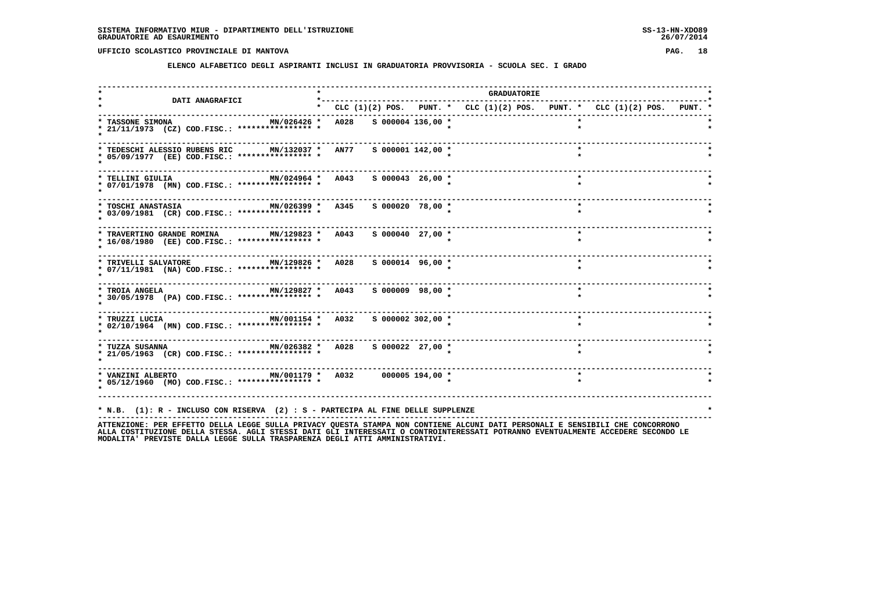**ELENCO ALFABETICO DEGLI ASPIRANTI INCLUSI IN GRADUATORIA PROVVISORIA - SCUOLA SEC. I GRADO**

| <b>DATI ANAGRAFICI</b>                                                                                                              | *---------                                                                |                     |  | <b>GRADUATORIE</b> |         |  |  |
|-------------------------------------------------------------------------------------------------------------------------------------|---------------------------------------------------------------------------|---------------------|--|--------------------|---------|--|--|
|                                                                                                                                     | * CLC (1)(2) POS. PUNT. * CLC (1)(2) POS. PUNT. * CLC (1)(2) POS. PUNT. * |                     |  |                    |         |  |  |
| MN/026426 *<br>* TASSONE SIMONA<br>* 21/11/1973 (CZ) COD.FISC.: **************** *                                                  | A028 S 000004 136,00 *                                                    |                     |  |                    |         |  |  |
| * TEDESCHI ALESSIO RUBENS RIC MN/132037 * AN77<br>* 05/09/1977 (EE) COD.FISC.: **************** *                                   |                                                                           | $S$ 000001 142,00 * |  |                    |         |  |  |
| MN/024964 * A043<br>* TELLINI GIULIA<br>* 07/01/1978 (MN) COD.FISC.: *************** *                                              |                                                                           | $S$ 000043 26,00 *  |  |                    | $\star$ |  |  |
| MN/026399 * A345<br>* TOSCHI ANASTASIA<br>* 03/09/1981 (CR) COD.FISC.: **************** *                                           |                                                                           | S 000020 78,00 *    |  |                    | $\star$ |  |  |
| * TRAVERTINO GRANDE ROMINA MN/129823 * A043<br>* 16/08/1980 (EE) COD.FISC.: **************** *                                      |                                                                           | $S$ 000040 27,00 *  |  |                    | $\star$ |  |  |
| MN/129826 * A028<br>* TRIVELLI SALVATORE<br>* 07/11/1981 (NA) COD.FISC.: **************** *                                         |                                                                           | $S$ 000014 96,00 *  |  |                    | $\star$ |  |  |
| * TROIA ANGELA $MN/129827$ * A043 \$ 000009 98,00 *<br>* 30/05/1978 (PA) COD.FISC.: **************** *                              |                                                                           |                     |  |                    | $\star$ |  |  |
| * TRUZZI LUCIA $MN/001154$ * A032<br>* 02/10/1964 (MN) COD.FISC.: **************** *                                                |                                                                           | S 000002 302,00 *   |  |                    |         |  |  |
| * 21/05/1963 (CR) COD.FISC.: **************** *                                                                                     |                                                                           |                     |  |                    | $\star$ |  |  |
| * VANZINI ALBERTO                       MN/001179 *   A032       000005 194,00 *<br>* 05/12/1960 (MO) COD.FISC.: **************** * |                                                                           |                     |  |                    |         |  |  |
| * N.B. (1): R - INCLUSO CON RISERVA (2) : S - PARTECIPA AL FINE DELLE SUPPLENZE                                                     |                                                                           |                     |  |                    |         |  |  |